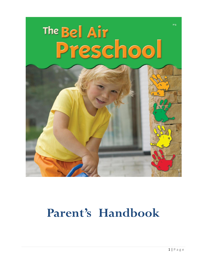

# **Parent's Handbook**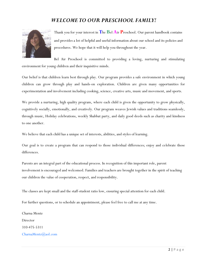#### *WELCOME TO OUR PRESCHOOL FAMILY!*



Thank you for your interest in **T**he **B**el **A**ir **P**reschool. Our parent handbook contains and provides a lot of helpful and useful information about our school and its policies and procedures. We hope that it will help you throughout the year.

Bel Air Preschool is committed to providing a loving, nurturing and stimulating environment for young children and their inquisitive minds.

Our belief is that children learn best through play. Our program provides a safe environment in which young children can grow through play and hands-on exploration. Children are given many opportunities for experimentation and involvement including cooking, science, creative arts, music and movement, and sports.

We provide a nurturing, high quality program, where each child is given the opportunity to grow physically, cognitively socially, emotionally, and creatively. Our program weaves Jewish values and traditions seamlessly, through music, Holiday celebrations, weekly Shabbat party, and daily good deeds such as charity and kindness to one another.

We believe that each child has a unique set of interests, abilities, and styles of learning.

Our goal is to create a program that can respond to those individual differences; enjoy and celebrate those differences.

Parents are an integral part of the educational process. In recognition of this important role, parent involvement is encouraged and welcomed. Families and teachers are brought together in the spirit of teaching our children the value of cooperation, respect, and responsibility.

The classes are kept small and the staff-student ratio low, ensuring special attention for each child.

For further questions, or to schedule an appointment, please feel free to call me at any time.

Charna Mentz Director 310-475-5311 CharnaMentz@aol.com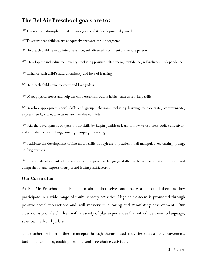### **The Bel Air Preschool goals are to:**

To create an atmosphere that encourages social & developmental growth

To assure that children are adequately prepared for kindergarten

Help each child develop into a sensitive, self-directed, confident and whole person

Develop the individual personality, including positive self-esteem, confidence, self-reliance, independence

Enhance each child's natural curiosity and love of learning

Help each child come to know and love Judaism

Meet physical needs and help the child establish routine habits, such as self-help skills

Develop appropriate social skills and group behaviors, including learning to cooperate, communicate, express needs, share, take turns, and resolve conflicts

 Aid the development of gross motor skills by helping children learn to how to use their bodies effectively and confidently in climbing, running, jumping, balancing

 Facilitate the development of fine motor skills through use of puzzles, small manipulatives, cutting, gluing, holding crayons

 Foster development of receptive and expressive language skills, such as the ability to listen and comprehend, and express thoughts and feelings satisfactorily

#### **Our Curriculum**

At Bel Air Preschool children learn about themselves and the world around them as they participate in a wide range of multi-sensory activities. High self-esteem is promoted through positive social interactions and skill mastery in a caring and stimulating environment. Our classrooms provide children with a variety of play experiences that introduce them to language, science, math and Judaism.

The teachers reinforce these concepts through theme based activities such as art, movement, tactile experiences, cooking projects and free choice activities.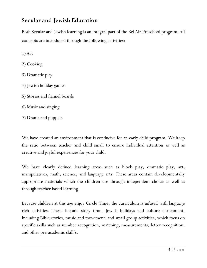### **Secular and Jewish Education**

Both Secular and Jewish learning is an integral part of the Bel Air Preschool program. All concepts are introduced through the following activities:

1) Art

- 2) Cooking
- 3) Dramatic play
- 4) Jewish holiday games
- 5) Stories and flannel boards
- 6) Music and singing
- 7) Drama and puppets

We have created an environment that is conducive for an early child program. We keep the ratio between teacher and child small to ensure individual attention as well as creative and joyful experiences for your child.

We have clearly defined learning areas such as block play, dramatic play, art, manipulatives, math, science, and language arts. These areas contain developmentally appropriate materials which the children use through independent choice as well as through teacher based learning.

Because children at this age enjoy Circle Time, the curriculum is infused with language rich activities. These include story time, Jewish holidays and culture enrichment. Including Bible stories, music and movement, and small group activities, which focus on specific skills such as number recognition, matching, measurements, letter recognition, and other pre-academic skill's.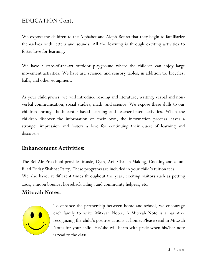## EDUCATION Cont.

We expose the children to the Alphabet and Aleph-Bet so that they begin to familiarize themselves with letters and sounds. All the learning is through exciting activities to foster love for learning.

We have a state-of-the-art outdoor playground where the children can enjoy large movement activities. We have art, science, and sensory tables, in addition to, bicycles, balls, and other equipment.

As your child grows, we will introduce reading and literature, writing, verbal and nonverbal communication, social studies, math, and science. We expose these skills to our children through both center-based learning and teacher-based activities. When the children discover the information on their own, the information process leaves a stronger impression and fosters a love for continuing their quest of learning and discovery.

#### **Enhancement Activities:**

The Bel Air Preschool provides Music, Gym, Art, Challah Making, Cooking and a funfilled Friday Shabbat Party. These programs are included in your child's tuition fees. We also have, at different times throughout the year, exciting visitors such as petting zoos, a moon bounce, horseback riding, and community helpers, etc.

#### **Mitzvah Notes:**



To enhance the partnership between home and school, we encourage each family to write Mitzvah Notes. A Mitzvah Note is a narrative recognizing the child's positive actions at home. Please send in Mitzvah Notes for your child. He/she will beam with pride when his/her note is read to the class.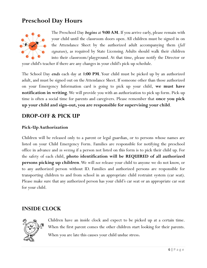# **Preschool Day Hours**



The Preschool Day *begins* at **9:00 AM**. If you arrive early, please remain with your child until the classroom doors open. All children must be signed in on the Attendance Sheet by the authorized adult accompanying them (*full signature*), as required by State Licensing. Adults should walk their children into their classroom/playground. At that time, please notify the Director or

your child's teacher if there are any changes in your child's pick-up schedule.

The School Day *ends* each day at **1:00 PM**. Your child must be picked up by an authorized adult, and must be signed out on the Attendance Sheet. If someone other than those authorized on your Emergency Information card is going to pick up your child, **we must have notification in writing**. We will provide you with an authorization to pick up form. Pick-up time is often a social time for parents and caregivers. Please remember that **once you pick up your child and sign-out, you are responsible for supervising your child**.

#### **DROP-OFF & PICK UP**

#### **Pick-Up Authorization**

Children will be released only to a parent or legal guardian, or to persons whose names are listed on your Child Emergency Form. Families are responsible for notifying the preschool office in advance and *in writing* if a person not listed on this form is to pick their child up. For the safety of each child, **photo identification will be REQUIRED of all authorized persons picking up children**. We will *not* release your child to anyone we do not know, or to any authorized person without ID. Families and authorized persons are responsible for transporting children to and from school in an appropriate child restraint system (car seat). Please make sure that any authorized person has your child's car seat or an appropriate car seat for your child.

#### **INSIDE CLOCK**



Children have an inside clock and expect to be picked up at a certain time. When the first parent comes the other children start looking for their parents. When you are late this causes your child undue stress.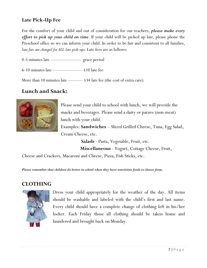#### **Late Pick-Up Fee**

For the comfort of your child and out of consideration for our teachers, *please make every effort to pick up your child on time*. If your child will be picked up late, please phone the Preschool office so we can inform your child. In order to be fair and consistent to all families, *late fees are charged for ALL late pick-ups*. Late fees are as follows:

0-5 minutes late --------------------- grace period

6-10 minutes late -------------------- \$10 late fee

More than 10 minutes late ---------- \$34 late fee (the cost of extra care)

#### **Lunch and Snack:**



Please send your child to school with lunch, we will provide the snacks and beverages. Please send a dairy or parave (non-meat) lunch with your child.

Examples: **Sandwiches** – Sliced Grilled Cheese, Tuna, Egg Salad, Cream Cheese, etc.

> **Salads** - Pasta, Vegetable, Fruit, etc.  **Miscellaneous** - Yogurt, Cottage Cheese, Fruit,

Cheese and Crackers, Macaroni and Cheese, Pizza, Fish Sticks, etc.

*Please remember that children do better in school when they have nutritious foods to choose from.*

#### **CLOTHING**



Dress your child appropriately for the weather of the day. All items should be washable and labeled with the child's first and last name. Every child should have a complete change of clothing left in his/her locker. Each Friday those all clothing should be taken home and laundered and brought back on Monday.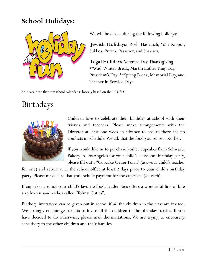# **School Holidays:**



We will be closed during the following holidays:

**Jewish Holidays**: Rosh Hashanah, Yom Kippur, Sukkos, Purim, Passover, and Shavuos.

**Legal Holidays**: Veterans Day, Thanksgiving, \*\*Mid-Winter Break, Martin Luther King Day, President's Day, \*\*Spring Break, Memorial Day, and Teacher In-Service Days.

\*\*Please note that our school calendar is loosely based on the LAUSD

# Birthdays



Children love to celebrate their birthday at school with their friends and teachers. Please make arrangements with the Director at least one week in advance to ensure there are no conflicts in schedule. We ask that the food you serve is Kosher.

If you would like us to purchase kosher cupcakes from Schwartz Bakery in Los Angeles for your child's classroom birthday party, please fill out a "Cupcake Order Form" (ask your child's teacher

for one) and return it to the school office at least 2 days prior to your child's birthday party. Please make sure that you include payment for the cupcakes (\$2 each).

If cupcakes are not your child's favorite food, Trader Joes offers a wonderful line of bite size frozen sandwiches called "Tofutti Cuties".

Birthday invitations can be given out in school if *all* the children in the class are invited. We strongly encourage parents to invite all the children to the birthday parties. If you have decided to do otherwise, please mail the invitations. We are trying to encourage sensitivity to the other children and their families.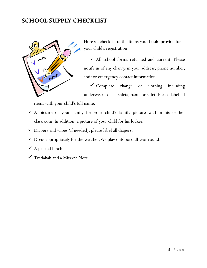## **SCHOOL SUPPLY CHECKLIST**



Here's a checklist of the items you should provide for your child's registration:

 $\checkmark$  All school forms returned and current. Please notify us of any change in your address, phone number, and/or emergency contact information.

 $\checkmark$  Complete change of clothing including underwear, socks, shirts, pants or skirt. Please label all

items with your child's full name.

- A picture of your family for your child's family picture wall in his or her classroom. In addition: a picture of your child for his locker.
- $\checkmark$  Diapers and wipes (if needed), please label all diapers.
- $\checkmark$  Dress appropriately for the weather. We play outdoors all year round.
- $\checkmark$  A packed lunch.
- Tzedakah and a Mitzvah Note.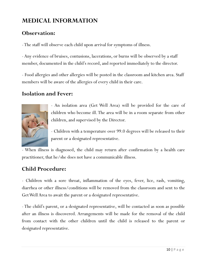# **MEDICAL INFORMATION**

## **Observation:**

-The staff will observe each child upon arrival for symptoms of illness.

- Any evidence of bruises, contusions, lacerations, or burns will be observed by a staff member, documented in the child's record, and reported immediately to the director.

- Food allergies and other allergies will be posted in the classroom and kitchen area. Staff members will be aware of the allergies of every child in their care.

### **Isolation and Fever:**



- An isolation area (Get Well Area) will be provided for the care of children who become ill. The area will be in a room separate from other children, and supervised by the Director.

- Children with a temperature over 99.0 degrees will be released to their parent or a designated representative.

- When illness is diagnosed, the child may return after confirmation by a health care practitioner, that he/she does not have a communicable illness.

## **Child Procedure:**

- Children with a sore throat, inflammation of the eyes, fever, lice, rash, vomiting, diarrhea or other illness/conditions will be removed from the classroom and sent to the Get Well Area to await the parent or a designated representative.

- The child's parent, or a designated representative, will be contacted as soon as possible after an illness is discovered. Arrangements will be made for the removal of the child from contact with the other children until the child is released to the parent or designated representative.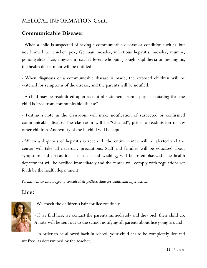## **Communicable Disease:**

- When a child is suspected of having a communicable disease or condition such as, but not limited to, chicken pox, German measles, infectious hepatitis, measles, mumps, poliomyelitis, lice, ringworm, scarlet fever, whooping cough, diphtheria or meningitis, the health department will be notified.

- When diagnosis of a communicable disease is made, the exposed children will be watched for symptoms of the disease, and the parents will be notified.

- A child may be readmitted upon receipt of statement from a physician stating that the child is "free from communicable disease".

- Posting a note in the classroom will make notification of suspected or confirmed communicable disease. The classroom will be "Cleaned", prior to readmission of any other children.Anonymity of the ill child will be kept.

- When a diagnosis of hepatitis is received, the entire center will be alerted and the center will take all necessary precautions. Staff and families will be educated about symptoms and precautions, such as hand washing, will be re-emphasized. The health department will be notified immediately and the center will comply with regulations set forth by the health department.

*Parents will be encouraged to consult their pediatricians for additional information.*

### **Lice:**



-We check the children's hair for lice routinely.

- If we find lice, we contact the parents immediately and they pick their child up. A note will be sent out to the school notifying all parents about lice going around.

- In order to be allowed back in school, your child has to be completely lice and nit free, as determined by the teacher.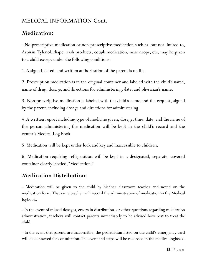## **Medication:**

- No prescriptive medication or non-prescriptive medication such as, but not limited to, Aspirin, Tylenol, diaper rash products, cough medication, nose drops, etc. may be given to a child except under the following conditions:

1. A signed, dated, and written authorization of the parent is on file.

2. Prescription medication is in the original container and labeled with the child's name, name of drug, dosage, and directions for administering, date, and physician's name.

3. Non-prescriptive medication is labeled with the child's name and the request, signed by the parent, including dosage and directions for administering.

4. A written report including type of medicine given, dosage, time, date, and the name of the person administering the medication will be kept in the child's record and the center's Medical Log Book.

5. Medication will be kept under lock and key and inaccessible to children.

6. Medication requiring refrigeration will be kept in a designated, separate, covered container clearly labeled, "Medication."

## **Medication Distribution:**

- Medication will be given to the child by his/her classroom teacher and noted on the medication form. That same teacher will record the administration of medication in the Medical logbook.

- In the event of missed dosages, errors in distribution, or other questions regarding medication administration, teachers will contact parents immediately to be advised how best to treat the child.

- In the event that parents are inaccessible, the pediatrician listed on the child's emergency card will be contacted for consultation. The event and steps will be recorded in the medical logbook.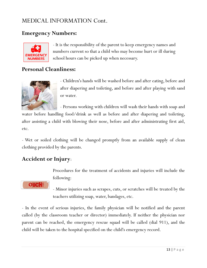## **Emergency Numbers:**



- It is the responsibility of the parent to keep emergency names and numbers current so that a child who may become hurt or ill during school hours can be picked up when necessary.

## **Personal Cleanliness:**



- Children's hands will be washed before and after eating, before and after diapering and toileting, and before and after playing with sand or water.

- Persons working with children will wash their hands with soap and

water before handling food/drink as well as before and after diapering and toileting, after assisting a child with blowing their nose, before and after administrating first aid, etc.

- Wet or soiled clothing will be changed promptly from an available supply of clean clothing provided by the parents.

### **Accident or Injury**:

Procedures for the treatment of accidents and injuries will include the following:



- Minor injuries such as scrapes, cuts, or scratches will be treated by the teachers utilizing soap, water, bandages, etc.

- In the event of serious injuries, the family physician will be notified and the parent called (by the classroom teacher or director) immediately. If neither the physician nor parent can be reached, the emergency rescue squad will be called (dial 911), and the child will be taken to the hospital specified on the child's emergency record.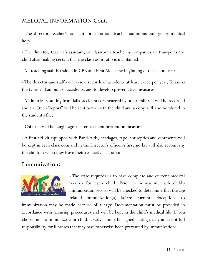- The director, teacher's assistant, or classroom teacher summons emergency medical help.

- The director, teacher's assistant, or classroom teacher accompanies or transports the child after making certain that the classroom ratio is maintained.

- All teaching staff is trained in CPR and First Aid at the beginning of the school year.

- The director and staff will review records of accidents at least twice per year. To assess the types and amount of accidents, and to develop preventative measures.

- All injuries resulting from falls, accidents or incurred by other children will be recorded and an "Ouch Report" will be sent home with the child and a copy will also be placed in the student's file.

- Children will be taught age-related accident prevention measures.

- A first aid kit equipped with Band-Aids, bandages, tape, antiseptics and ointments will be kept in each classroom and in the Director's office. A first aid kit will also accompany the children when they leave their respective classrooms.

#### **Immunization:**



- The state requires us to have complete and current medical records for each child. Prior to admission, each child's immunization record will be checked to determine that the age related immunization(s) is/are current. Exceptions to

immunization may be made because of allergy. Documentation must be provided in accordance with licensing procedures and will be kept in the child's medical file. If you choose not to immunize your child, a waiver must be signed stating that you accept full responsibility for illnesses that may have otherwise been prevented by immunizations.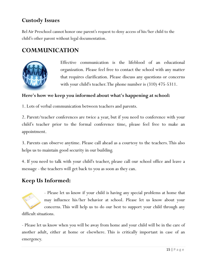## **Custody Issues**

Bel Air Preschool cannot honor one parent's request to deny access of his/her child to the child's other parent without legal documentation.

## **COMMUNICATION**



Effective communication is the lifeblood of an educational organization. Please feel free to contact the school with any matter that requires clarification. Please discuss any questions or concerns with your child's teacher. The phone number is (310) 475-5311.

#### **Here's how we keep you informed about what's happening at school:**

1. Lots of verbal communication between teachers and parents.

2. Parent/teacher conferences are twice a year, but if you need to conference with your child's teacher prior to the formal conference time, please feel free to make an appointment.

3. Parents can observe anytime. Please call ahead as a courtesy to the teachers. This also helps us to maintain good security in our building.

4. If you need to talk with your child's teacher, please call our school office and leave a message - the teachers will get back to you as soon as they can.

### **Keep Us Informed:**



- Please let us know if your child is having any special problems at home that may influence his/her behavior at school. Please let us know about your concerns. This will help us to do our best to support your child through any

difficult situations.

- Please let us know when you will be away from home and your child will be in the care of another adult, either at home or elsewhere. This is critically important in case of an emergency.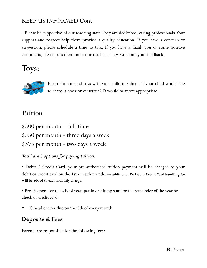# KEEP US INFORMED Cont.

- Please be supportive of our teaching staff. They are dedicated, caring professionals. Your support and respect help them provide a quality education. If you have a concern or suggestion, please schedule a time to talk. If you have a thank you or some positive comments, please pass them on to our teachers. They welcome your feedback.

Toys:



Please do not send toys with your child to school. If your child would like to share, a book or cassette/CD would be more appropriate.

## **Tuition**

\$800 per month – full time \$550 per month - three days a week \$375 per month - two days a week

#### *You have 3 options for paying tuition:*

• Debit / Credit Card: your pre-authorized tuition payment will be charged to your debit or credit card on the 1st of each month. **An additional 2% Debit/Credit Card handling fee will be added to each monthly charge.**

• Pre-Payment for the school year: pay in one lump sum for the remainder of the year by check or credit card.

10 head checks due on the 5th of every month.

## **Deposits & Fees**

Parents are responsible for the following fees: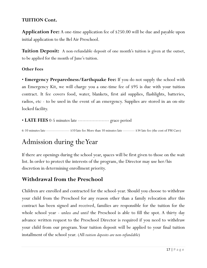#### **TUITION Cont.**

**Application Fee:** A one-time application fee of \$250.00 will be due and payable upon initial application to the Bel Air Preschool.

**Tuition Deposit:** A non-refundable deposit of one month's tuition is given at the outset, to be applied for the month of June's tuition.

#### **Other Fees**

• **Emergency Preparedness/Earthquake Fee:** If you do not supply the school with an Emergency Kit, we will charge you a one-time fee of \$95 is due with your tuition contract. It fee covers food, water, blankets, first aid supplies, flashlights, batteries, radios, etc - to be used in the event of an emergency. Supplies are stored in an on-site locked facility.

#### • **LATE FEES** 0-5 minutes late --------------------- grace period

6-10 minutes late -------------------- \$10 late fee More than 10 minutes late ---------- \$34 late fee (the cost of PM Care)

# Admission during the Year

If there are openings during the school year, spaces will be first given to those on the wait list. In order to protect the interests of the program, the Director may use her/his discretion in determining enrollment priority.

#### **Withdrawal from the Preschool**

Children are enrolled and contracted for the school-year. Should you choose to withdraw your child from the Preschool for any reason other than a family relocation after this contract has been signed and received, families are responsible for the tuition for the whole school year - *unless and until* the Preschool is able to fill the spot. A thirty day advance written request to the Preschool Director is required if you need to withdraw your child from our program. Your tuition deposit will be applied to your final tuition installment of the school year. (All *tuition deposits are non-refundable*)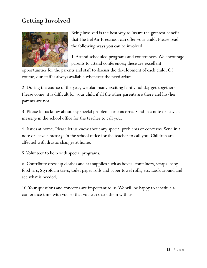# **Getting Involved**



Being involved is the best way to insure the greatest benefit that The Bel Air Preschool can offer your child. Please read the following ways you can be involved.

1. Attend scheduled programs and conferences. We encourage parents to attend conferences; these are excellent

opportunities for the parents and staff to discuss the development of each child. Of course, our staff is always available whenever the need arises.

2. During the course of the year, we plan many exciting family holiday get-togethers. Please come, it is difficult for your child if all the other parents are there and his/her parents are not.

3. Please let us know about any special problems or concerns. Send in a note or leave a message in the school office for the teacher to call you.

4. Issues at home. Please let us know about any special problems or concerns. Send in a note or leave a message in the school office for the teacher to call you. Children are affected with drastic changes at home.

5. Volunteer to help with special programs.

6. Contribute dress up clothes and art supplies such as boxes, containers, scraps, baby food jars, Styrofoam trays, toilet paper rolls and paper towel rolls, etc. Look around and see what is needed.

10. Your questions and concerns are important to us. We will be happy to schedule a conference time with you so that you can share them with us.